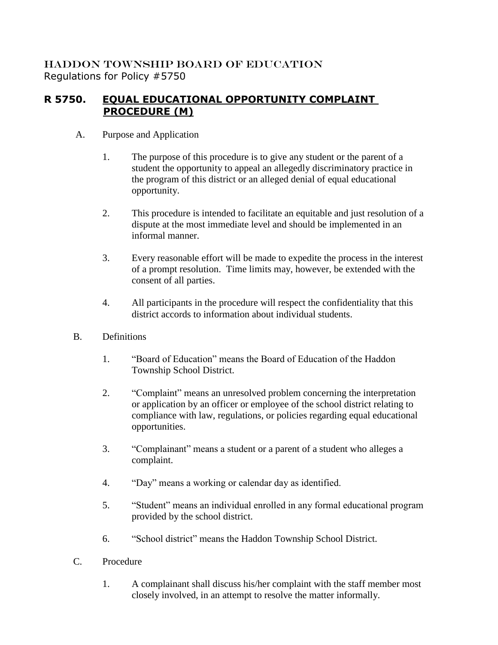HADDON TOWNSHIP BOARD OF EDUCATION Regulations for Policy #5750

## **R 5750. EQUAL EDUCATIONAL OPPORTUNITY COMPLAINT PROCEDURE (M)**

- A. Purpose and Application
	- 1. The purpose of this procedure is to give any student or the parent of a student the opportunity to appeal an allegedly discriminatory practice in the program of this district or an alleged denial of equal educational opportunity.
	- 2. This procedure is intended to facilitate an equitable and just resolution of a dispute at the most immediate level and should be implemented in an informal manner.
	- 3. Every reasonable effort will be made to expedite the process in the interest of a prompt resolution. Time limits may, however, be extended with the consent of all parties.
	- 4. All participants in the procedure will respect the confidentiality that this district accords to information about individual students.
- B. Definitions
	- 1. "Board of Education" means the Board of Education of the Haddon Township School District.
	- 2. "Complaint" means an unresolved problem concerning the interpretation or application by an officer or employee of the school district relating to compliance with law, regulations, or policies regarding equal educational opportunities.
	- 3. "Complainant" means a student or a parent of a student who alleges a complaint.
	- 4. "Day" means a working or calendar day as identified.
	- 5. "Student" means an individual enrolled in any formal educational program provided by the school district.
	- 6. "School district" means the Haddon Township School District.
- C. Procedure
	- 1. A complainant shall discuss his/her complaint with the staff member most closely involved, in an attempt to resolve the matter informally.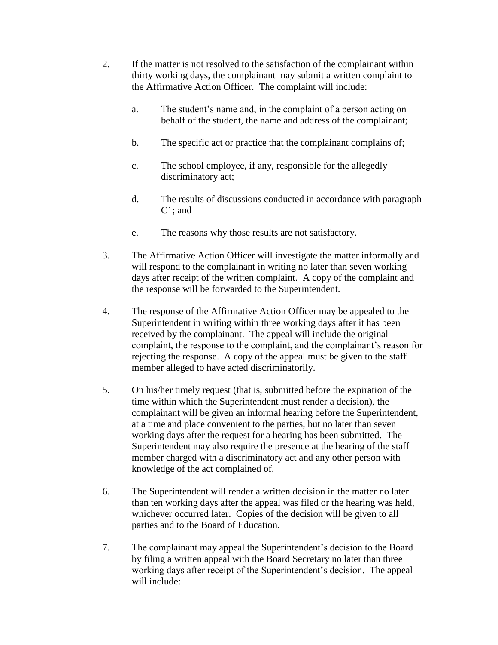- 2. If the matter is not resolved to the satisfaction of the complainant within thirty working days, the complainant may submit a written complaint to the Affirmative Action Officer. The complaint will include:
	- a. The student's name and, in the complaint of a person acting on behalf of the student, the name and address of the complainant;
	- b. The specific act or practice that the complainant complains of;
	- c. The school employee, if any, responsible for the allegedly discriminatory act;
	- d. The results of discussions conducted in accordance with paragraph C1; and
	- e. The reasons why those results are not satisfactory.
- 3. The Affirmative Action Officer will investigate the matter informally and will respond to the complainant in writing no later than seven working days after receipt of the written complaint. A copy of the complaint and the response will be forwarded to the Superintendent.
- 4. The response of the Affirmative Action Officer may be appealed to the Superintendent in writing within three working days after it has been received by the complainant. The appeal will include the original complaint, the response to the complaint, and the complainant's reason for rejecting the response. A copy of the appeal must be given to the staff member alleged to have acted discriminatorily.
- 5. On his/her timely request (that is, submitted before the expiration of the time within which the Superintendent must render a decision), the complainant will be given an informal hearing before the Superintendent, at a time and place convenient to the parties, but no later than seven working days after the request for a hearing has been submitted. The Superintendent may also require the presence at the hearing of the staff member charged with a discriminatory act and any other person with knowledge of the act complained of.
- 6. The Superintendent will render a written decision in the matter no later than ten working days after the appeal was filed or the hearing was held, whichever occurred later. Copies of the decision will be given to all parties and to the Board of Education.
- 7. The complainant may appeal the Superintendent's decision to the Board by filing a written appeal with the Board Secretary no later than three working days after receipt of the Superintendent's decision. The appeal will include: